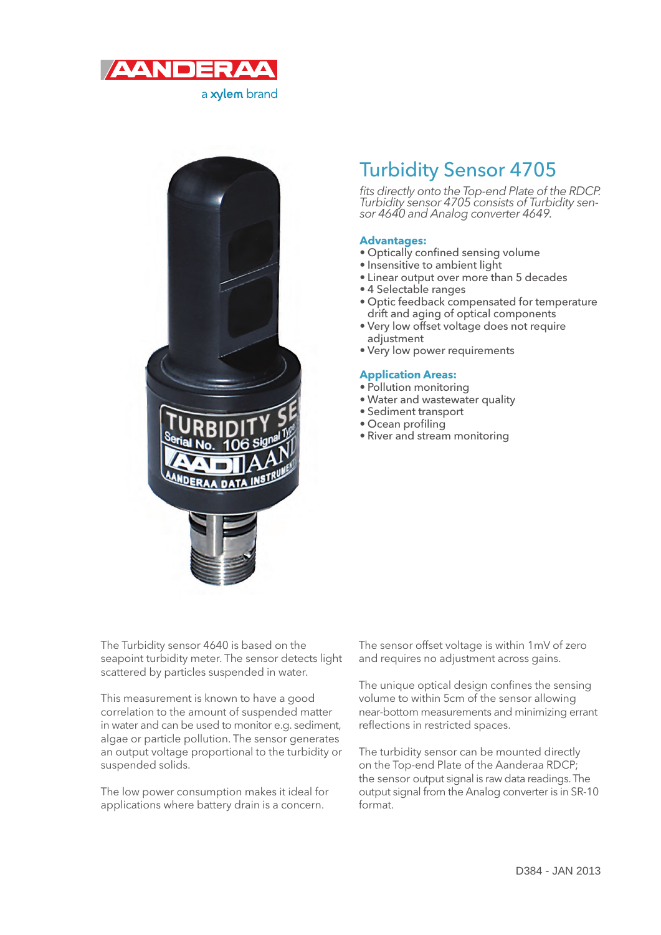

a xylem brand



# Turbidity Sensor 4705

fits directly onto the Top-end Plate of the RDCP. Turbidity sensor 4705 consists of Turbidity sensor 4640 and Analog converter 4649.

## **Advantages:**

- Optically confined sensing volume
- Insensitive to ambient light
- Linear output over more than 5 decades
- 4 Selectable ranges
- Optic feedback compensated for temperature drift and aging of optical components
- Very low offset voltage does not require adjustment
- Very low power requirements

#### **Application Areas:**

- Pollution monitoring
- Water and wastewater quality
- Sediment transport
- $\bullet$  Ocean profiling
- River and stream monitoring

The Turbidity sensor 4640 is based on the seapoint turbidity meter. The sensor detects light scattered by particles suspended in water.

This measurement is known to have a good correlation to the amount of suspended matter in water and can be used to monitor e.g. sediment, algae or particle pollution. The sensor generates an output voltage proportional to the turbidity or suspended solids.

The low power consumption makes it ideal for applications where battery drain is a concern.

The sensor offset voltage is within 1mV of zero and requires no adjustment across gains.

The unique optical design confines the sensing volume to within 5cm of the sensor allowing near-bottom measurements and minimizing errant reflections in restricted spaces.

The turbidity sensor can be mounted directly on the Top-end Plate of the Aanderaa RDCP; the sensor output signal is raw data readings. The output signal from the Analog converter is in SR-10 format.